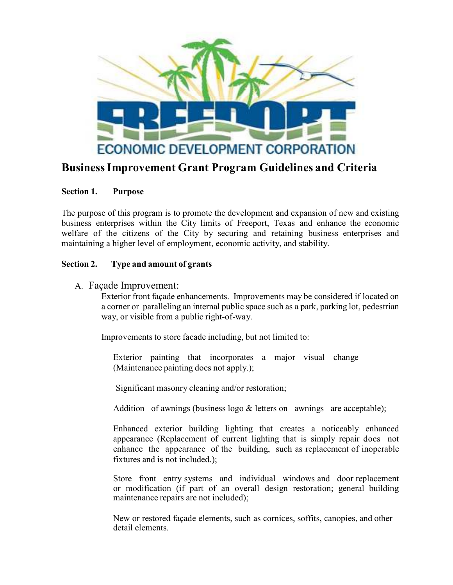

## **Business Improvement Grant Program Guidelines and Criteria**

#### **Section 1. Purpose**

The purpose of this program is to promote the development and expansion of new and existing business enterprises within the City limits of Freeport, Texas and enhance the economic welfare of the citizens of the City by securing and retaining business enterprises and maintaining a higher level of employment, economic activity, and stability.

#### **Section 2. Type and amount of grants**

#### A. Façade Improvement:

Exterior front façade enhancements. Improvements may be considered if located on a corner or paralleling an internal public space such as a park, parking lot, pedestrian way, or visible from a public right-of-way.

Improvements to store facade including, but not limited to:

Exterior painting that incorporates a major visual change (Maintenance painting does not apply.);

Significant masonry cleaning and/or restoration;

Addition of awnings (business logo  $&$  letters on awnings are acceptable);

 Enhanced exterior building lighting that creates a noticeably enhanced appearance (Replacement of current lighting that is simply repair does not enhance the appearance of the building, such as replacement of inoperable fixtures and is not included.);

 Store front entry systems and individual windows and door replacement or modification (if part of an overall design restoration; general building maintenance repairs are not included);

New or restored façade elements, such as cornices, soffits, canopies, and other detail elements.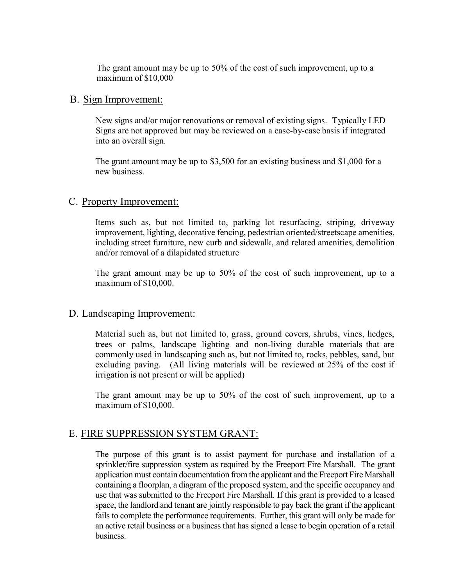The grant amount may be up to 50% of the cost of such improvement, up to a maximum of \$10,000

#### B. Sign Improvement:

New signs and/or major renovations or removal of existing signs. Typically LED Signs are not approved but may be reviewed on a case-by-case basis if integrated into an overall sign.

The grant amount may be up to \$3,500 for an existing business and \$1,000 for a new business.

#### C. Property Improvement:

Items such as, but not limited to, parking lot resurfacing, striping, driveway improvement, lighting, decorative fencing, pedestrian oriented/streetscape amenities, including street furniture, new curb and sidewalk, and related amenities, demolition and/or removal of a dilapidated structure

The grant amount may be up to 50% of the cost of such improvement, up to a maximum of \$10,000.

#### D. Landscaping Improvement:

Material such as, but not limited to, grass, ground covers, shrubs, vines, hedges, trees or palms, landscape lighting and non-living durable materials that are commonly used in landscaping such as, but not limited to, rocks, pebbles, sand, but excluding paving. (All living materials will be reviewed at 25% of the cost if irrigation is not present or will be applied)

The grant amount may be up to 50% of the cost of such improvement, up to a maximum of \$10,000.

#### E. FIRE SUPPRESSION SYSTEM GRANT:

The purpose of this grant is to assist payment for purchase and installation of a sprinkler/fire suppression system as required by the Freeport Fire Marshall. The grant application must contain documentation from the applicant and the Freeport Fire Marshall containing a floorplan, a diagram of the proposed system, and the specific occupancy and use that was submitted to the Freeport Fire Marshall. If this grant is provided to a leased space, the landlord and tenant are jointly responsible to pay back the grant if the applicant fails to complete the performance requirements. Further, this grant will only be made for an active retail business or a business that has signed a lease to begin operation of a retail business.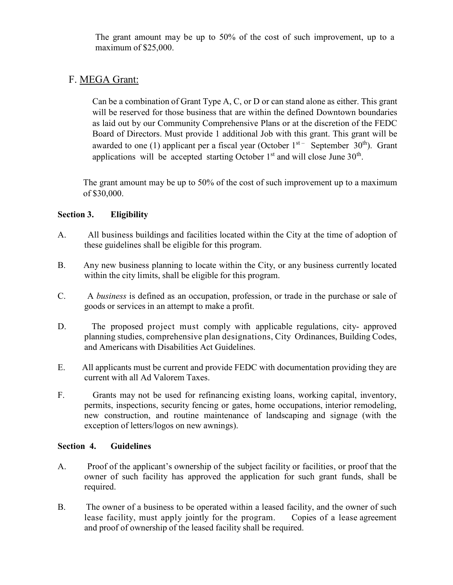The grant amount may be up to 50% of the cost of such improvement, up to a maximum of \$25,000.

### F. MEGA Grant:

Can be a combination of Grant Type A, C, or D or can stand alone as either. This grant will be reserved for those business that are within the defined Downtown boundaries as laid out by our Community Comprehensive Plans or at the discretion of the FEDC Board of Directors. Must provide 1 additional Job with this grant. This grant will be awarded to one (1) applicant per a fiscal year (October  $1<sup>st-</sup>$  September 30<sup>th</sup>). Grant applications will be accepted starting October  $1<sup>st</sup>$  and will close June  $30<sup>th</sup>$ .

The grant amount may be up to 50% of the cost of such improvement up to a maximum of \$30,000.

#### **Section 3. Eligibility**

- A. All business buildings and facilities located within the City at the time of adoption of these guidelines shall be eligible for this program.
- B. Any new business planning to locate within the City, or any business currently located within the city limits, shall be eligible for this program.
- C. A *business* is defined as an occupation, profession, or trade in the purchase or sale of goods or services in an attempt to make a profit.
- D. The proposed project must comply with applicable regulations, city- approved planning studies, comprehensive plan designations, City Ordinances, Building Codes, and Americans with Disabilities Act Guidelines.
- E. All applicants must be current and provide FEDC with documentation providing they are current with all Ad Valorem Taxes.
- F. Grants may not be used for refinancing existing loans, working capital, inventory, permits, inspections, security fencing or gates, home occupations, interior remodeling, new construction, and routine maintenance of landscaping and signage (with the exception of letters/logos on new awnings).

#### **Section 4. Guidelines**

- A. Proof of the applicant's ownership of the subject facility or facilities, or proof that the owner of such facility has approved the application for such grant funds, shall be required.
- B. The owner of a business to be operated within a leased facility, and the owner of such lease facility, must apply jointly for the program. Copies of a lease agreement and proof of ownership of the leased facility shall be required.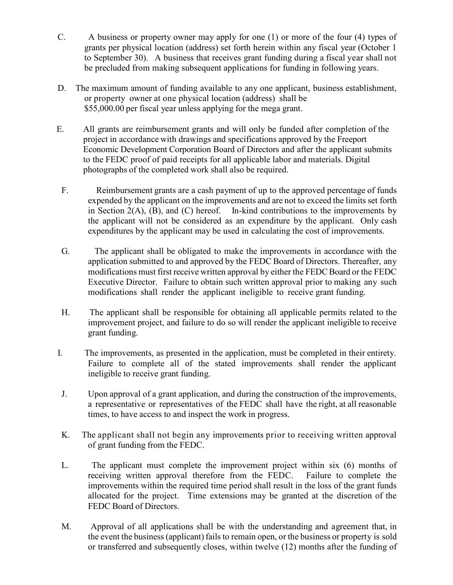- C. A business or property owner may apply for one (1) or more of the four (4) types of grants per physical location (address) set forth herein within any fiscal year (October 1 to September 30). A business that receives grant funding during a fiscal year shall not be precluded from making subsequent applications for funding in following years.
- D. The maximum amount of funding available to any one applicant, business establishment, or property owner at one physical location (address) shall be \$55,000.00 per fiscal year unless applying for the mega grant.
- E. All grants are reimbursement grants and will only be funded after completion of the project in accordance with drawings and specifications approved by the Freeport Economic Development Corporation Board of Directors and after the applicant submits to the FEDC proof of paid receipts for all applicable labor and materials. Digital photographs of the completed work shall also be required.
	- F. Reimbursement grants are a cash payment of up to the approved percentage of funds expended by the applicant on the improvements and are not to exceed the limits set forth in Section 2(A),  $(B)$ , and  $(C)$  hereof. In-kind contributions to the improvements by the applicant will not be considered as an expenditure by the applicant. Only cash expenditures by the applicant may be used in calculating the cost of improvements.
	- G. The applicant shall be obligated to make the improvements in accordance with the application submitted to and approved by the FEDC Board of Directors. Thereafter, any modifications must first receive written approval by either the FEDC Board or the FEDC Executive Director. Failure to obtain such written approval prior to making any such modifications shall render the applicant ineligible to receive grant funding.
	- H. The applicant shall be responsible for obtaining all applicable permits related to the improvement project, and failure to do so will render the applicant ineligible to receive grant funding.
- I. The improvements, as presented in the application, must be completed in their entirety. Failure to complete all of the stated improvements shall render the applicant ineligible to receive grant funding.
- J. Upon approval of a grant application, and during the construction of the improvements, a representative or representatives of the FEDC shall have the right, at all reasonable times, to have access to and inspect the work in progress.
- K. The applicant shall not begin any improvements prior to receiving written approval of grant funding from the FEDC.
- L. The applicant must complete the improvement project within six (6) months of receiving written approval therefore from the FEDC. Failure to complete the improvements within the required time period shall result in the loss of the grant funds allocated for the project. Time extensions may be granted at the discretion of the FEDC Board of Directors.
- M. Approval of all applications shall be with the understanding and agreement that, in the event the business (applicant) fails to remain open, or the business or property is sold or transferred and subsequently closes, within twelve (12) months after the funding of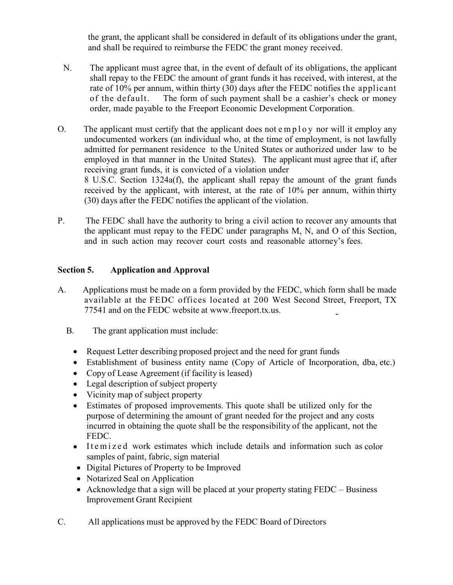the grant, the applicant shall be considered in default of its obligations under the grant, and shall be required to reimburse the FEDC the grant money received.

- N. The applicant must agree that, in the event of default of its obligations, the applicant shall repay to the FEDC the amount of grant funds it has received, with interest, at the rate of 10% per annum, within thirty (30) days after the FEDC notifies the applicant of the default. The form of such payment shall be a cashier's check or money order, made payable to the Freeport Economic Development Corporation.
- O. The applicant must certify that the applicant does not  $e$  m  $p$  l o y nor will it employ any undocumented workers (an individual who, at the time of employment, is not lawfully admitted for permanent residence to the United States or authorized under law to be employed in that manner in the United States). The applicant must agree that if, after receiving grant funds, it is convicted of a violation under 8 U.S.C. Section 1324a(f), the applicant shall repay the amount of the grant funds received by the applicant, with interest, at the rate of 10% per annum, within thirty (30) days after the FEDC notifies the applicant of the violation.
- P. The FEDC shall have the authority to bring a civil action to recover any amounts that the applicant must repay to the FEDC under paragraphs M, N, and O of this Section, and in such action may recover court costs and reasonable attorney's fees.

#### **Section 5. Application and Approval**

- A. Applications must be made on a form provided by the FEDC, which form shall be made available at the FEDC offices located at 200 West Second Street, Freeport, TX 77541 and on the FEDC website at www.freeport.tx.us.
	- B. The grant application must include:
		- Request Letter describing proposed project and the need for grant funds
		- Establishment of business entity name (Copy of Article of Incorporation, dba, etc.)
		- Copy of Lease Agreement (if facility is leased)
		- Legal description of subject property
		- Vicinity map of subject property
		- Estimates of proposed improvements. This quote shall be utilized only for the purpose of determining the amount of grant needed for the project and any costs incurred in obtaining the quote shall be the responsibility of the applicant, not the FEDC.
		- Itemized work estimates which include details and information such as color samples of paint, fabric, sign material
		- Digital Pictures of Property to be Improved
		- Notarized Seal on Application
		- Acknowledge that a sign will be placed at your property stating FEDC Business Improvement Grant Recipient
- C. All applications must be approved by the FEDC Board of Directors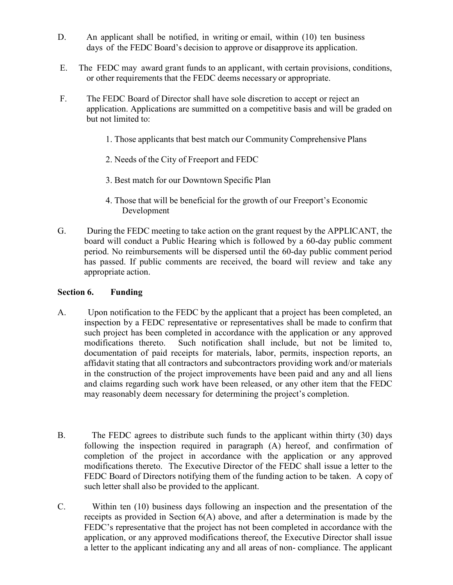- D. An applicant shall be notified, in writing or email, within (10) ten business days of the FEDC Board's decision to approve or disapprove its application.
- E. The FEDC may award grant funds to an applicant, with certain provisions, conditions, or other requirements that the FEDC deems necessary or appropriate.
- F. The FEDC Board of Director shall have sole discretion to accept or reject an application. Applications are summitted on a competitive basis and will be graded on but not limited to:
	- 1. Those applicants that best match our Community Comprehensive Plans
	- 2. Needs of the City of Freeport and FEDC
	- 3. Best match for our Downtown Specific Plan
	- 4. Those that will be beneficial for the growth of our Freeport's Economic Development
- G. During the FEDC meeting to take action on the grant request by the APPLICANT, the board will conduct a Public Hearing which is followed by a 60-day public comment period. No reimbursements will be dispersed until the 60-day public comment period has passed. If public comments are received, the board will review and take any appropriate action.

#### **Section 6. Funding**

- A. Upon notification to the FEDC by the applicant that a project has been completed, an inspection by a FEDC representative or representatives shall be made to confirm that such project has been completed in accordance with the application or any approved modifications thereto. Such notification shall include, but not be limited to, documentation of paid receipts for materials, labor, permits, inspection reports, an affidavit stating that all contractors and subcontractors providing work and/or materials in the construction of the project improvements have been paid and any and all liens and claims regarding such work have been released, or any other item that the FEDC may reasonably deem necessary for determining the project's completion.
- B. The FEDC agrees to distribute such funds to the applicant within thirty (30) days following the inspection required in paragraph (A) hereof, and confirmation of completion of the project in accordance with the application or any approved modifications thereto. The Executive Director of the FEDC shall issue a letter to the FEDC Board of Directors notifying them of the funding action to be taken. A copy of such letter shall also be provided to the applicant.
- C. Within ten (10) business days following an inspection and the presentation of the receipts as provided in Section 6(A) above, and after a determination is made by the FEDC's representative that the project has not been completed in accordance with the application, or any approved modifications thereof, the Executive Director shall issue a letter to the applicant indicating any and all areas of non- compliance. The applicant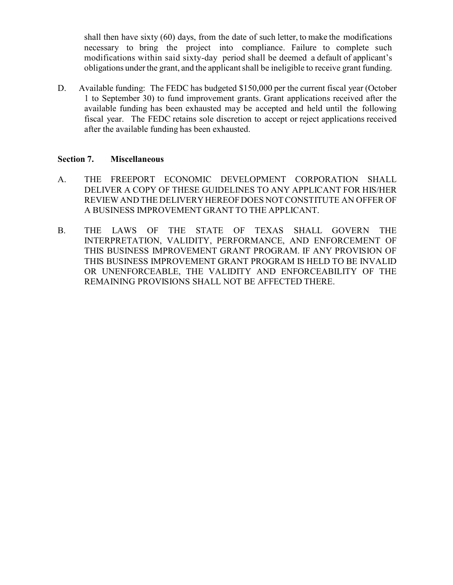shall then have sixty (60) days, from the date of such letter, to make the modifications necessary to bring the project into compliance. Failure to complete such modifications within said sixty-day period shall be deemed a default of applicant's obligations under the grant, and the applicant shall be ineligible to receive grant funding.

D. Available funding: The FEDC has budgeted \$150,000 per the current fiscal year (October 1 to September 30) to fund improvement grants. Grant applications received after the available funding has been exhausted may be accepted and held until the following fiscal year. The FEDC retains sole discretion to accept or reject applications received after the available funding has been exhausted.

#### **Section 7. Miscellaneous**

- A. THE FREEPORT ECONOMIC DEVELOPMENT CORPORATION SHALL DELIVER A COPY OF THESE GUIDELINES TO ANY APPLICANT FOR HIS/HER REVIEW AND THE DELIVERY HEREOF DOES NOT CONSTITUTE AN OFFER OF A BUSINESS IMPROVEMENT GRANT TO THE APPLICANT.
- B. THE LAWS OF THE STATE OF TEXAS SHALL GOVERN THE INTERPRETATION, VALIDITY, PERFORMANCE, AND ENFORCEMENT OF THIS BUSINESS IMPROVEMENT GRANT PROGRAM. IF ANY PROVISION OF THIS BUSINESS IMPROVEMENT GRANT PROGRAM IS HELD TO BE INVALID OR UNENFORCEABLE, THE VALIDITY AND ENFORCEABILITY OF THE REMAINING PROVISIONS SHALL NOT BE AFFECTED THERE.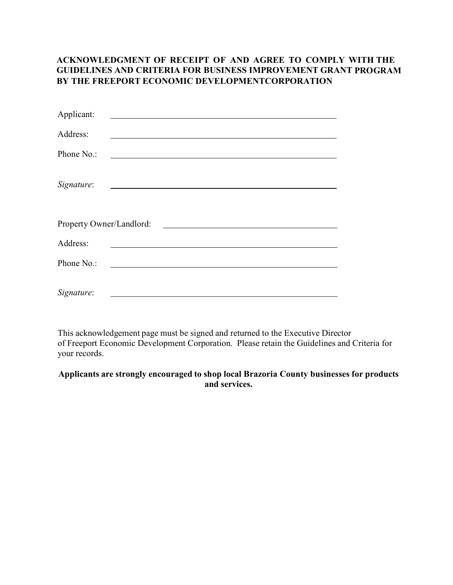#### **ACKNOWLEDGMENT OF RECEIPT OF AND AGREE TO COMPLY WITH THE GUIDELINES AND CRITERIA FOR BUSINESS IMPROVEMENT GRANT PROGRAM BY THE FREEPORT ECONOMIC DEVELOPMENTCORPORATION**

| Applicant:               | <u> 1980 - Jan Samuel Barbara, martin da basar da basar da basar da basar da basar da basar da basar da basar da</u>   |
|--------------------------|------------------------------------------------------------------------------------------------------------------------|
| Address:                 |                                                                                                                        |
| Phone No.:               | <u> 1989 - Johann Barn, amerikansk politiker (d. 1989)</u>                                                             |
| Signature:               | <u> 1989 - Johann Stoff, deutscher Stoffen und der Stoffen und der Stoffen und der Stoffen und der Stoffen und der</u> |
| Property Owner/Landlord: |                                                                                                                        |
| Address:                 |                                                                                                                        |
| Phone No.:               | <u> 1989 - Johann Stoff, deutscher Stoffen und der Stoffen und der Stoffen und der Stoffen und der Stoffen und der</u> |
| Signature:               |                                                                                                                        |

This acknowledgement page must be signed and returned to the Executive Director of Freeport Economic Development Corporation. Please retain the Guidelines and Criteria for your records.

#### **Applicants are strongly encouraged to shop local Brazoria County businesses for products and services.**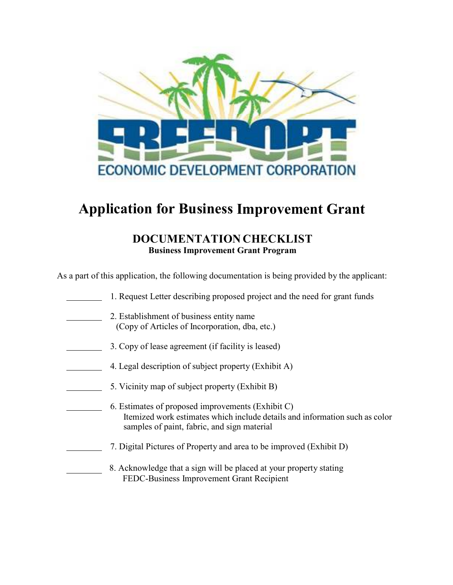

# **Application for Business Improvement Grant**

## **DOCUMENTATION CHECKLIST Business Improvement Grant Program**

As a part of this application, the following documentation is being provided by the applicant:

| 1. Request Letter describing proposed project and the need for grant funds                                                                                                      |
|---------------------------------------------------------------------------------------------------------------------------------------------------------------------------------|
| 2. Establishment of business entity name<br>(Copy of Articles of Incorporation, dba, etc.)                                                                                      |
| 3. Copy of lease agreement (if facility is leased)                                                                                                                              |
| 4. Legal description of subject property (Exhibit A)                                                                                                                            |
| 5. Vicinity map of subject property (Exhibit B)                                                                                                                                 |
| 6. Estimates of proposed improvements (Exhibit C)<br>Itemized work estimates which include details and information such as color<br>samples of paint, fabric, and sign material |
| 7. Digital Pictures of Property and area to be improved (Exhibit D)                                                                                                             |
| 8. Acknowledge that a sign will be placed at your property stating<br>FEDC-Business Improvement Grant Recipient                                                                 |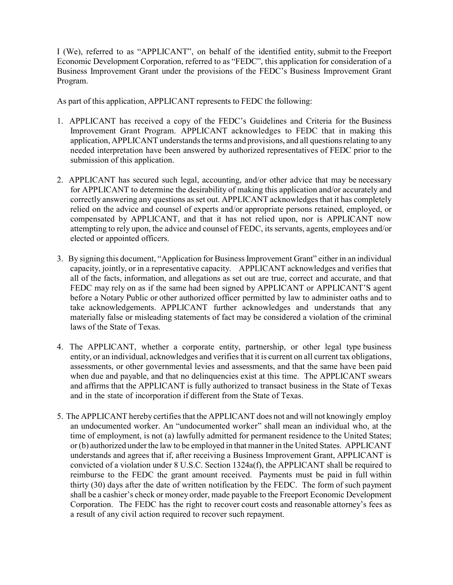I (We), referred to as "APPLICANT", on behalf of the identified entity, submit to the Freeport Economic Development Corporation, referred to as "FEDC", this application for consideration of a Business Improvement Grant under the provisions of the FEDC's Business Improvement Grant Program.

As part of this application, APPLICANT represents to FEDC the following:

- 1. APPLICANT has received a copy of the FEDC's Guidelines and Criteria for the Business Improvement Grant Program. APPLICANT acknowledges to FEDC that in making this application, APPLICANT understands the terms and provisions, and all questions relating to any needed interpretation have been answered by authorized representatives of FEDC prior to the submission of this application.
- 2. APPLICANT has secured such legal, accounting, and/or other advice that may be necessary for APPLICANT to determine the desirability of making this application and/or accurately and correctly answering any questions as set out. APPLICANT acknowledges that it has completely relied on the advice and counsel of experts and/or appropriate persons retained, employed, or compensated by APPLICANT, and that it has not relied upon, nor is APPLICANT now attempting to rely upon, the advice and counsel of FEDC, its servants, agents, employees and/or elected or appointed officers.
- 3. By signing this document, "Application for Business Improvement Grant" either in an individual capacity, jointly, or in a representative capacity. APPLICANT acknowledges and verifies that all of the facts, information, and allegations as set out are true, correct and accurate, and that FEDC may rely on as if the same had been signed by APPLICANT or APPLICANT'S agent before a Notary Public or other authorized officer permitted by law to administer oaths and to take acknowledgements. APPLICANT further acknowledges and understands that any materially false or misleading statements of fact may be considered a violation of the criminal laws of the State of Texas.
- 4. The APPLICANT, whether a corporate entity, partnership, or other legal type business entity, or an individual, acknowledges and verifies that it is current on all current tax obligations, assessments, or other governmental levies and assessments, and that the same have been paid when due and payable, and that no delinquencies exist at this time. The APPLICANT swears and affirms that the APPLICANT is fully authorized to transact business in the State of Texas and in the state of incorporation if different from the State of Texas.
- 5. The APPLICANT hereby certifies that the APPLICANT does not and will not knowingly employ an undocumented worker. An "undocumented worker" shall mean an individual who, at the time of employment, is not (a) lawfully admitted for permanent residence to the United States; or (b) authorized under the law to be employed in that manner in the United States. APPLICANT understands and agrees that if, after receiving a Business Improvement Grant, APPLICANT is convicted of a violation under 8 U.S.C. Section 1324a(f), the APPLICANT shall be required to reimburse to the FEDC the grant amount received. Payments must be paid in full within thirty (30) days after the date of written notification by the FEDC. The form of such payment shall be a cashier's check or money order, made payable to the Freeport Economic Development Corporation. The FEDC has the right to recover court costs and reasonable attorney's fees as a result of any civil action required to recover such repayment.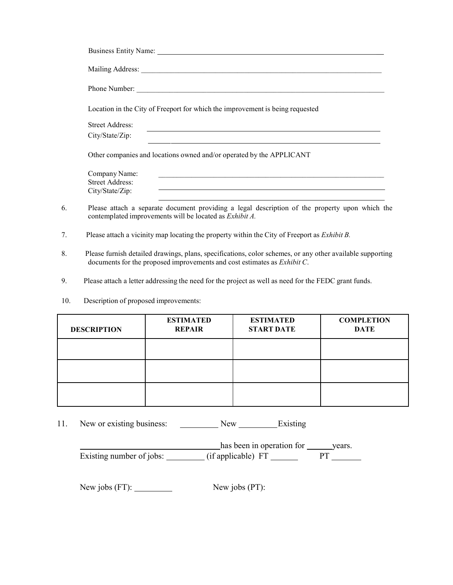|    | Location in the City of Freeport for which the improvement is being requested                                                                             |
|----|-----------------------------------------------------------------------------------------------------------------------------------------------------------|
|    | <b>Street Address:</b><br>and the control of the control of the control of the control of the control of the control of the control of the                |
|    | City/State/Zip:                                                                                                                                           |
|    | Other companies and locations owned and/or operated by the APPLICANT                                                                                      |
|    | Company Name:<br><u> 1980 - Johann John Stone, markin fan de Amerikaansk kommunister fan de Amerikaansk kommunister fan de Amerikaa</u>                   |
|    | <b>Street Address:</b>                                                                                                                                    |
|    | and the control of the control of the control of the control of the control of the control of the control of the<br>City/State/Zip:                       |
| 6. | Please attach a separate document providing a legal description of the property upon which the<br>contemplated improvements will be located as Exhibit A. |

- 7. Please attach a vicinity map locating the property within the City of Freeport as *Exhibit B.*
- 8. Please furnish detailed drawings, plans, specifications, color schemes, or any other available supporting documents for the proposed improvements and cost estimates as *Exhibit C*.
- 9. Please attach a letter addressing the need for the project as well as need for the FEDC grant funds.
- 10. Description of proposed improvements:

| <b>DESCRIPTION</b> | <b>ESTIMATED</b><br><b>REPAIR</b> | <b>ESTIMATED</b><br><b>START DATE</b> | <b>COMPLETION</b><br><b>DATE</b> |
|--------------------|-----------------------------------|---------------------------------------|----------------------------------|
|                    |                                   |                                       |                                  |
|                    |                                   |                                       |                                  |
|                    |                                   |                                       |                                  |

11. New or existing business: New Existing

|                          | has been in operation for | vears. |
|--------------------------|---------------------------|--------|
| Existing number of jobs: | (if applicable) FT        |        |

New jobs (FT): New jobs (PT):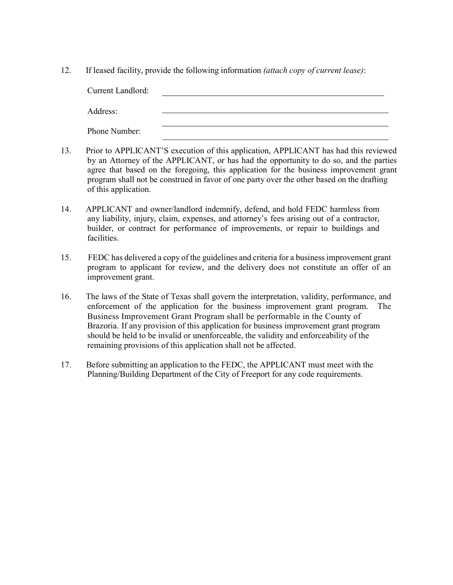12. If leased facility, provide the following information *(attach copy of current lease)*:

| <b>Current Landlord:</b> |  |
|--------------------------|--|
| Address:                 |  |
| Phone Number:            |  |

- 13. Prior to APPLICANT'S execution of this application, APPLICANT has had this reviewed by an Attorney of the APPLICANT, or has had the opportunity to do so, and the parties agree that based on the foregoing, this application for the business improvement grant program shall not be construed in favor of one party over the other based on the drafting of this application.
- 14. APPLICANT and owner/landlord indemnify, defend, and hold FEDC harmless from any liability, injury, claim, expenses, and attorney's fees arising out of a contractor, builder, or contract for performance of improvements, or repair to buildings and facilities.
- 15. FEDC has delivered a copy of the guidelines and criteria for a business improvement grant program to applicant for review, and the delivery does not constitute an offer of an improvement grant.
- 16. The laws of the State of Texas shall govern the interpretation, validity, performance, and enforcement of the application for the business improvement grant program. The Business Improvement Grant Program shall be performable in the County of Brazoria. If any provision of this application for business improvement grant program should be held to be invalid or unenforceable, the validity and enforceability of the remaining provisions of this application shall not be affected.
- 17. Before submitting an application to the FEDC, the APPLICANT must meet with the Planning/Building Department of the City of Freeport for any code requirements.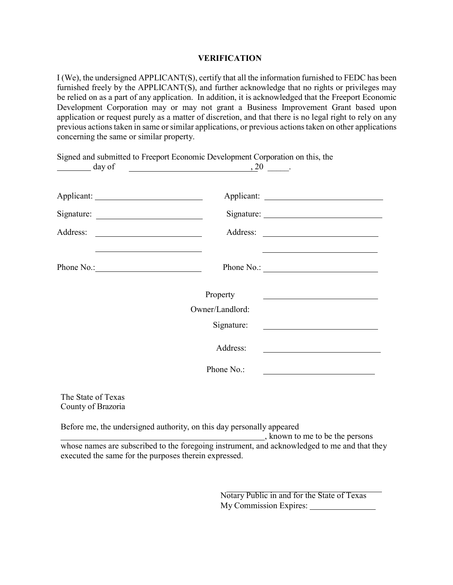#### **VERIFICATION**

I (We), the undersigned APPLICANT(S), certify that all the information furnished to FEDC has been furnished freely by the APPLICANT(S), and further acknowledge that no rights or privileges may be relied on as a part of any application. In addition, it is acknowledged that the Freeport Economic Development Corporation may or may not grant a Business Improvement Grant based upon application or request purely as a matter of discretion, and that there is no legal right to rely on any previous actions taken in same or similar applications, or previous actions taken on other applications concerning the same or similar property.

Signed and submitted to Freeport Economic Development Corporation on this, the

| day of                                                                                    | $, 20$ .        |                                                                    |
|-------------------------------------------------------------------------------------------|-----------------|--------------------------------------------------------------------|
|                                                                                           |                 |                                                                    |
| Applicant:                                                                                |                 |                                                                    |
|                                                                                           |                 |                                                                    |
| Address:                                                                                  |                 |                                                                    |
| the control of the control of the control of the control of the control of the control of |                 |                                                                    |
| Phone No.:                                                                                | Phone No.:      |                                                                    |
|                                                                                           | Property        |                                                                    |
|                                                                                           | Owner/Landlord: |                                                                    |
|                                                                                           | Signature:      | <u> 1980 - Andrea Station Barbara, amerikan personal (h. 1980)</u> |
|                                                                                           | Address:        |                                                                    |
|                                                                                           | Phone No.:      |                                                                    |
|                                                                                           |                 |                                                                    |

The State of Texas County of Brazoria

Before me, the undersigned authority, on this day personally appeared

 , known to me to be the persons whose names are subscribed to the foregoing instrument, and acknowledged to me and that they executed the same for the purposes therein expressed.

> Notary Public in and for the State of Texas My Commission Expires: